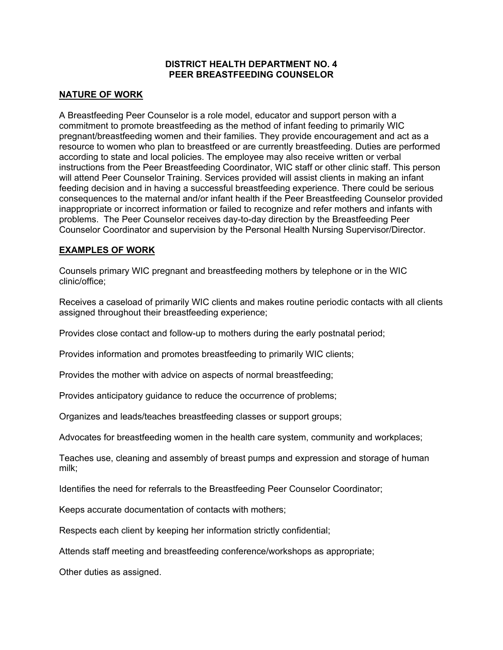### **DISTRICT HEALTH DEPARTMENT NO. 4 PEER BREASTFEEDING COUNSELOR**

## **NATURE OF WORK**

A Breastfeeding Peer Counselor is a role model, educator and support person with a commitment to promote breastfeeding as the method of infant feeding to primarily WIC pregnant/breastfeeding women and their families. They provide encouragement and act as a resource to women who plan to breastfeed or are currently breastfeeding. Duties are performed according to state and local policies. The employee may also receive written or verbal instructions from the Peer Breastfeeding Coordinator, WIC staff or other clinic staff. This person will attend Peer Counselor Training. Services provided will assist clients in making an infant feeding decision and in having a successful breastfeeding experience. There could be serious consequences to the maternal and/or infant health if the Peer Breastfeeding Counselor provided inappropriate or incorrect information or failed to recognize and refer mothers and infants with problems. The Peer Counselor receives day-to-day direction by the Breastfeeding Peer Counselor Coordinator and supervision by the Personal Health Nursing Supervisor/Director.

### **EXAMPLES OF WORK**

Counsels primary WIC pregnant and breastfeeding mothers by telephone or in the WIC clinic/office;

Receives a caseload of primarily WIC clients and makes routine periodic contacts with all clients assigned throughout their breastfeeding experience;

Provides close contact and follow-up to mothers during the early postnatal period;

Provides information and promotes breastfeeding to primarily WIC clients;

Provides the mother with advice on aspects of normal breastfeeding;

Provides anticipatory guidance to reduce the occurrence of problems;

Organizes and leads/teaches breastfeeding classes or support groups;

Advocates for breastfeeding women in the health care system, community and workplaces;

Teaches use, cleaning and assembly of breast pumps and expression and storage of human milk;

Identifies the need for referrals to the Breastfeeding Peer Counselor Coordinator;

Keeps accurate documentation of contacts with mothers;

Respects each client by keeping her information strictly confidential;

Attends staff meeting and breastfeeding conference/workshops as appropriate;

Other duties as assigned.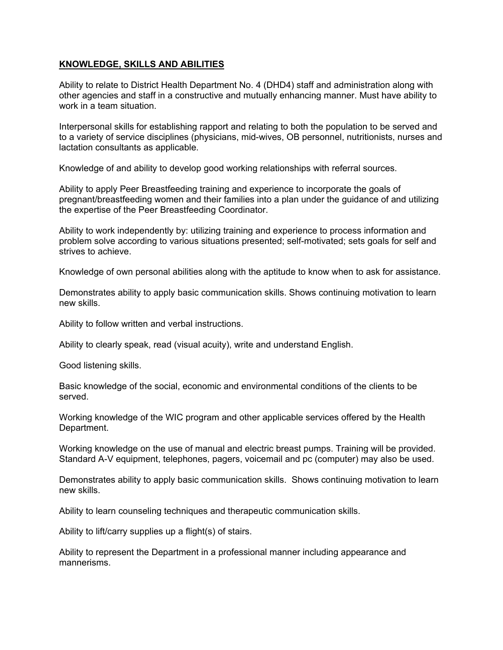# **KNOWLEDGE, SKILLS AND ABILITIES**

Ability to relate to District Health Department No. 4 (DHD4) staff and administration along with other agencies and staff in a constructive and mutually enhancing manner. Must have ability to work in a team situation.

Interpersonal skills for establishing rapport and relating to both the population to be served and to a variety of service disciplines (physicians, mid-wives, OB personnel, nutritionists, nurses and lactation consultants as applicable.

Knowledge of and ability to develop good working relationships with referral sources.

Ability to apply Peer Breastfeeding training and experience to incorporate the goals of pregnant/breastfeeding women and their families into a plan under the guidance of and utilizing the expertise of the Peer Breastfeeding Coordinator.

Ability to work independently by: utilizing training and experience to process information and problem solve according to various situations presented; self-motivated; sets goals for self and strives to achieve.

Knowledge of own personal abilities along with the aptitude to know when to ask for assistance.

Demonstrates ability to apply basic communication skills. Shows continuing motivation to learn new skills.

Ability to follow written and verbal instructions.

Ability to clearly speak, read (visual acuity), write and understand English.

Good listening skills.

Basic knowledge of the social, economic and environmental conditions of the clients to be served.

Working knowledge of the WIC program and other applicable services offered by the Health Department.

Working knowledge on the use of manual and electric breast pumps. Training will be provided. Standard A-V equipment, telephones, pagers, voicemail and pc (computer) may also be used.

Demonstrates ability to apply basic communication skills. Shows continuing motivation to learn new skills.

Ability to learn counseling techniques and therapeutic communication skills.

Ability to lift/carry supplies up a flight(s) of stairs.

Ability to represent the Department in a professional manner including appearance and mannerisms.